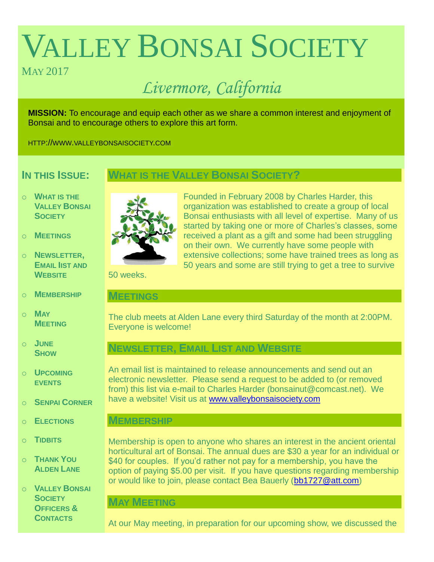# VALLEY BONSAI SOCIETY

# MAY 2017

# *Livermore, California*

**MISSION:** To encourage and equip each other as we share a common interest and enjoyment of Bonsai and to encourage others to explore this art form.

HTTP://WWW.VALLEYBONSAISOCIETY.COM

# **IN THIS ISSUE:**

# **WHAT IS THE VALLEY BONSAI SOCIETY?**

- o **WHAT IS THE VALLEY BONSAI SOCIETY**
- o **MEETINGS**
- o **NEWSLETTER, EMAIL IIST AND WEBSITE**
- o **MEMBERSHIP**
- o **MAY MEETING**
- o **JUNE SHOW**
- o **UPCOMING EVENTS**
- o **SENPAI CORNER**
- o **ELECTIONS**
- o **TIDBITS**
- o **THANK YOU ALDEN LANE**
- o **VALLEY BONSAI SOCIETY OFFICERS & CONTACTS**



Founded in February 2008 by Charles Harder, this organization was established to create a group of local Bonsai enthusiasts with all level of expertise. Many of us started by taking one or more of Charles's classes, some received a plant as a gift and some had been struggling on their own. We currently have some people with extensive collections; some have trained trees as long as 50 years and some are still trying to get a tree to survive

50 weeks.

## **MEETINGS**

The club meets at Alden Lane every third Saturday of the month at 2:00PM. Everyone is welcome!

# **NEWSLETTER, EMAIL LIST AND WEBSITE**

An email list is maintained to release announcements and send out an electronic newsletter. Please send a request to be added to (or removed from) this list via e-mail to Charles Harder (bonsainut@comcast.net). We have a website! Visit us at [www.valleybonsaisociety.com](http://www.valleybonsaisociety.com/)

# **MEMBERSHIP**

Membership is open to anyone who shares an interest in the ancient oriental horticultural art of Bonsai. The annual dues are \$30 a year for an individual or \$40 for couples. If you'd rather not pay for a membership, you have the option of paying \$5.00 per visit. If you have questions regarding membership or would like to join, please contact Bea Bauerly [\(bb1727@att.com\)](mailto:bb1727@att.com)

# **MAY MEETING**

At our May meeting, in preparation for our upcoming show, we discussed the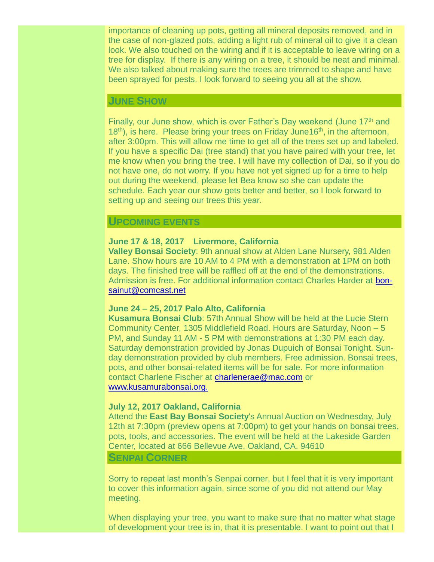importance of cleaning up pots, getting all mineral deposits removed, and in the case of non-glazed pots, adding a light rub of mineral oil to give it a clean look. We also touched on the wiring and if it is acceptable to leave wiring on a tree for display. If there is any wiring on a tree, it should be neat and minimal. We also talked about making sure the trees are trimmed to shape and have been sprayed for pests. I look forward to seeing you all at the show.

# **JUNE SHOW**

Finally, our June show, which is over Father's Day weekend (June 17<sup>th</sup> and  $18<sup>th</sup>$ ), is here. Please bring your trees on Friday June  $16<sup>th</sup>$ , in the afternoon, after 3:00pm. This will allow me time to get all of the trees set up and labeled. If you have a specific Dai (tree stand) that you have paired with your tree, let me know when you bring the tree. I will have my collection of Dai, so if you do not have one, do not worry. If you have not yet signed up for a time to help out during the weekend, please let Bea know so she can update the schedule. Each year our show gets better and better, so I look forward to setting up and seeing our trees this year.

#### **UPCOMING EVENTS**

#### **June 17 & 18, 2017 Livermore, California**

**Valley Bonsai Society**: 9th annual show at Alden Lane Nursery, 981 Alden Lane. Show hours are 10 AM to 4 PM with a demonstration at 1PM on both days. The finished tree will be raffled off at the end of the demonstrations. Admission is free. For additional information contact Charles Harder at [bon](mailto:bonsainut@comcast.net)[sainut@comcast.net](mailto:bonsainut@comcast.net)

#### **June 24 – 25, 2017 Palo Alto, California**

**Kusamura Bonsai Club**: 57th Annual Show will be held at the Lucie Stern Community Center, 1305 Middlefield Road. Hours are Saturday, Noon – 5 PM, and Sunday 11 AM - 5 PM with demonstrations at 1:30 PM each day. Saturday demonstration provided by Jonas Dupuich of Bonsai Tonight. Sunday demonstration provided by club members. Free admission. Bonsai trees, pots, and other bonsai-related items will be for sale. For more information contact Charlene Fischer at [charlenerae@mac.com](mailto:charlenerae@mac.com) or [www.kusamurabonsai.org.](http://www.kusamurabonsai.org./)

#### **July 12, 2017 Oakland, California**

Attend the **East Bay Bonsai Society**'s Annual Auction on Wednesday, July 12th at 7:30pm (preview opens at 7:00pm) to get your hands on bonsai trees, pots, tools, and accessories. The event will be held at the Lakeside Garden Center, located at 666 Bellevue Ave. Oakland, CA. 94610

#### **SENPAI CORNER**

Sorry to repeat last month's Senpai corner, but I feel that it is very important to cover this information again, since some of you did not attend our May meeting.

When displaying your tree, you want to make sure that no matter what stage of development your tree is in, that it is presentable. I want to point out that I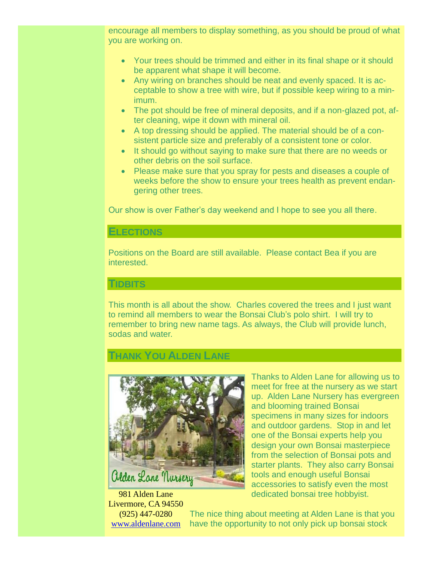encourage all members to display something, as you should be proud of what you are working on.

- Your trees should be trimmed and either in its final shape or it should be apparent what shape it will become.
- Any wiring on branches should be neat and evenly spaced. It is acceptable to show a tree with wire, but if possible keep wiring to a minimum.
- The pot should be free of mineral deposits, and if a non-glazed pot, after cleaning, wipe it down with mineral oil.
- A top dressing should be applied. The material should be of a consistent particle size and preferably of a consistent tone or color.
- It should go without saying to make sure that there are no weeds or other debris on the soil surface.
- Please make sure that you spray for pests and diseases a couple of weeks before the show to ensure your trees health as prevent endangering other trees.

Our show is over Father's day weekend and I hope to see you all there.

# **ELECTIONS**

Positions on the Board are still available. Please contact Bea if you are interested.

## **TIDBITS**

This month is all about the show. Charles covered the trees and I just want to remind all members to wear the Bonsai Club's polo shirt. I will try to remember to bring new name tags. As always, the Club will provide lunch, sodas and water.

# **THANK YOU ALDEN LANE**



Thanks to Alden Lane for allowing us to meet for free at the nursery as we start up. Alden Lane Nursery has evergreen and blooming trained Bonsai specimens in many sizes for indoors and outdoor gardens. Stop in and let one of the Bonsai experts help you design your own Bonsai masterpiece from the selection of Bonsai pots and starter plants. They also carry Bonsai tools and enough useful Bonsai accessories to satisfy even the most dedicated bonsai tree hobbyist.

981 Alden Lane Livermore, CA 94550 (925) 447-0280 [www.aldenlane.com](http://www.aldenlane.com/)

The nice thing about meeting at Alden Lane is that you have the opportunity to not only pick up bonsai stock